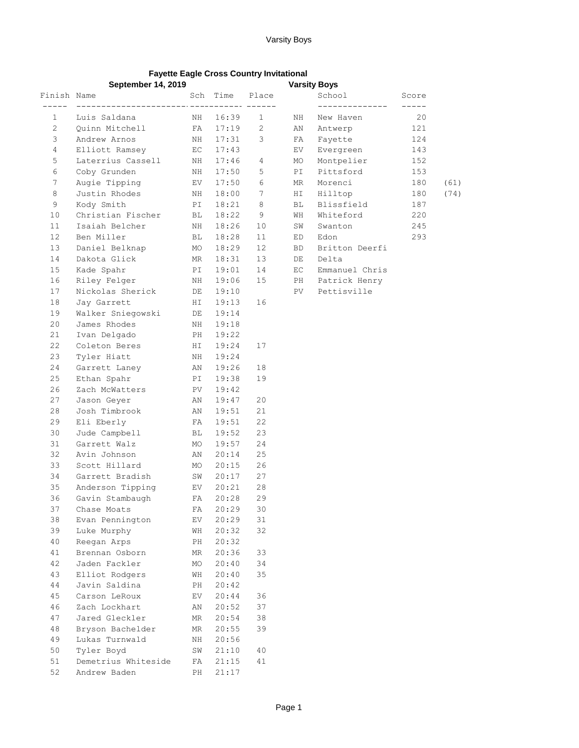## Varsity Boys

## **Fayette Eagle Cross Country Invitational**

|                       | <b>September 14, 2019</b>          |          |                |                 |            | <b>Varsity Boys</b> |       |      |
|-----------------------|------------------------------------|----------|----------------|-----------------|------------|---------------------|-------|------|
| Finish Name           |                                    | Sch      | Time           | Place           |            | School              | Score |      |
|                       |                                    |          |                | ----- ------    |            | --------------      |       |      |
| $\mathbf{1}$          | Luis Saldana                       | ΝH       | 16:39          | 1               | NH         | New Haven           | 20    |      |
| $\mathbf{2}^{\prime}$ | Quinn Mitchell                     | FA       | 17:19          | 2               | AN         | Antwerp             | 121   |      |
| 3                     | Andrew Arnos                       | ΝH       | 17:31          | 3               | FA         | Fayette             | 124   |      |
| $\overline{4}$        | Elliott Ramsey                     | EC       | 17:43          |                 | ${\rm EV}$ | Evergreen           | 143   |      |
| 5                     | Laterrius Cassell                  | NH       | 17:46          | 4               | МO         | Montpelier          | 152   |      |
| 6                     | Coby Grunden                       | NH       | 17:50          | 5               | PI         | Pittsford           | 153   |      |
| $7\phantom{.}$        | Augie Tipping                      | EV       | 17:50          | 6               | ΜR         | Morenci             | 180   | (61) |
| 8                     | Justin Rhodes                      | NH       | 18:00          | $7\phantom{.0}$ | ΗI         | Hilltop             | 180   | (74) |
| 9                     | Kody Smith                         | PI       | 18:21          | 8               | BL         | Blissfield          | 187   |      |
| 10                    | Christian Fischer                  | ВL       | 18:22          | 9               | WH         | Whiteford           | 220   |      |
| 11                    | Isaiah Belcher                     | NH       | 18:26          | 10              | SW         | Swanton             | 245   |      |
| 12 <sup>2</sup>       | Ben Miller                         | BL       | 18:28          | 11              | ED         | Edon                | 293   |      |
| 13                    | Daniel Belknap                     | МO       | 18:29          | 12              | BD         | Britton Deerfi      |       |      |
| 14                    | Dakota Glick                       | MR       | 18:31          | 13              | DE         | Delta               |       |      |
| 15                    | Kade Spahr                         | PI       | 19:01          | 14              | EC         | Emmanuel Chris      |       |      |
| 16                    | Riley Felger                       | ΝH       | 19:06          | 15              | PH         | Patrick Henry       |       |      |
| 17                    | Nickolas Sherick                   | DE       | 19:10          |                 | PV         | Pettisville         |       |      |
| 18                    | Jay Garrett                        | ΗI       | 19:13          | 16              |            |                     |       |      |
| 19                    | Walker Sniegowski                  | DE       | 19:14          |                 |            |                     |       |      |
| 20                    | James Rhodes                       | ΝH       | 19:18          |                 |            |                     |       |      |
| 21                    | Ivan Delgado                       | PH       | 19:22          |                 |            |                     |       |      |
| 22                    | Coleton Beres                      | ΗI       | 19:24          | 17              |            |                     |       |      |
| 23                    | Tyler Hiatt                        | NH       | 19:24          |                 |            |                     |       |      |
| 24                    | Garrett Laney                      | AN       | 19:26          | 18              |            |                     |       |      |
| 25                    | Ethan Spahr                        | PI       | 19:38          | 19              |            |                     |       |      |
| 26                    | Zach McWatters                     | PV       | 19:42          |                 |            |                     |       |      |
| 27                    | Jason Geyer                        | AN       | 19:47          | 20              |            |                     |       |      |
| 28                    | Josh Timbrook                      | AN       | 19:51          | 21              |            |                     |       |      |
| 29                    | Eli Eberly                         | FA       | 19:51          | 22              |            |                     |       |      |
| 30                    | Jude Campbell                      | ВL       | 19:52          | 23              |            |                     |       |      |
| 31                    | Garrett Walz                       | MO       | 19:57          | 24              |            |                     |       |      |
| 32                    | Avin Johnson                       | AN       | 20:14          | 25              |            |                     |       |      |
| 33                    | Scott Hillard                      | МO       | 20:15          | 26              |            |                     |       |      |
| 34                    | Garrett Bradish                    | SW       | 20:17          | 27              |            |                     |       |      |
| 35                    | Anderson Tipping                   | EV       | 20:21          | 28              |            |                     |       |      |
| 36                    | Gavin Stambaugh                    | FA       | 20:28          | 29              |            |                     |       |      |
| 37                    | Chase Moats                        | FA       | 20:29          | 30              |            |                     |       |      |
| 38                    | Evan Pennington                    | ΕV       | 20:29          | 31              |            |                     |       |      |
| 39                    | Luke Murphy                        | WН       | 20:32          | 32              |            |                     |       |      |
| 40                    | Reegan Arps                        | PH       | 20:32          |                 |            |                     |       |      |
| 41                    | Brennan Osborn                     | ΜR       | 20:36          | 33              |            |                     |       |      |
| 42                    | Jaden Fackler                      | МO       | 20:40          | 34              |            |                     |       |      |
| 43                    | Elliot Rodgers                     | WН       | 20:40          | 35              |            |                     |       |      |
| 44                    | Javin Saldina                      | PH       | 20:42          |                 |            |                     |       |      |
| 45<br>46              | Carson LeRoux<br>Zach Lockhart     | EV       | 20:44          | 36<br>37        |            |                     |       |      |
|                       |                                    | ΑN       | 20:52          |                 |            |                     |       |      |
| 47                    | Jared Gleckler                     | MR       | 20:54          | 38              |            |                     |       |      |
| 48<br>49              | Bryson Bachelder<br>Lukas Turnwald | MR       | 20:55          | 39              |            |                     |       |      |
| 50                    |                                    | ΝH       | 20:56          |                 |            |                     |       |      |
| 51                    | Tyler Boyd<br>Demetrius Whiteside  | SW<br>FA | 21:10<br>21:15 | 40<br>41        |            |                     |       |      |
| 52                    | Andrew Baden                       | PH       | 21:17          |                 |            |                     |       |      |
|                       |                                    |          |                |                 |            |                     |       |      |